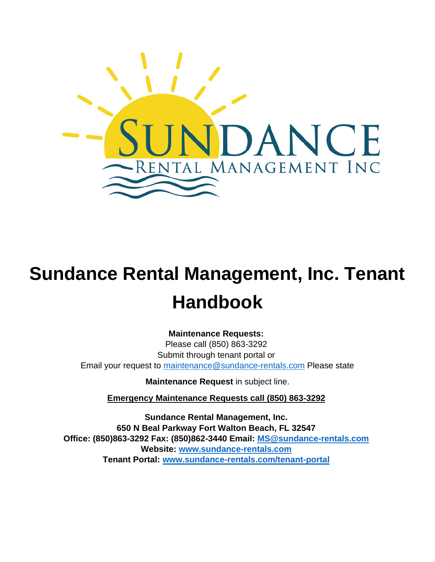

# **Sundance Rental Management, Inc. Tenant Handbook**

**Maintenance Requests:** 

Please call (850) 863-3292 Submit through tenant portal or Email your request to maintenance@sundance-rentals.com Please state

**Maintenance Request** in subject line.

**Emergency Maintenance Requests call (850) 863-3292**

**Sundance Rental Management, Inc. 650 N Beal Parkway Fort Walton Beach, FL 32547 Office: (850)863-3292 Fax: (850)862-3440 Email: MS@sundance-rentals.com Website: [www.sundance-rentals.com](http://www.sundance-rentals.com/)  Tenant Portal: [www.sundance-rentals.com/tenant-portal](http://www.sundance-rentals.com/tenant-portal)**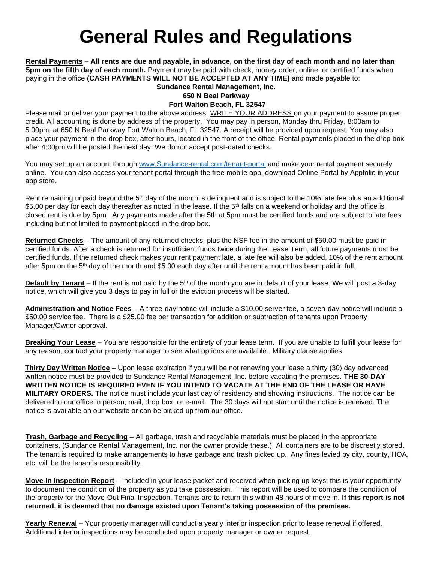# **General Rules and Regulations**

**Rental Payments** – **All rents are due and payable, in advance, on the first day of each month and no later than 5pm on the fifth day of each month.** Payment may be paid with check, money order, online, or certified funds when paying in the office **(CASH PAYMENTS WILL NOT BE ACCEPTED AT ANY TIME)** and made payable to:

**Sundance Rental Management, Inc. 650 N Beal Parkway Fort Walton Beach, FL 32547** 

Please mail or deliver your payment to the above address. WRITE YOUR ADDRESS on your payment to assure proper credit. All accounting is done by address of the property. You may pay in person, Monday thru Friday, 8:00am to 5:00pm, at 650 N Beal Parkway Fort Walton Beach, FL 32547. A receipt will be provided upon request. You may also place your payment in the drop box, after hours, located in the front of the office. Rental payments placed in the drop box after 4:00pm will be posted the next day. We do not accept post-dated checks.

You may set up an account through [www.Sundance-rental.com/tenant-portal](http://www.sundance-rental.com/tenant-portal) and make your rental payment securely online. You can also access your tenant portal through the free mobile app, download Online Portal by Appfolio in your app store.

Rent remaining unpaid beyond the  $5<sup>th</sup>$  day of the month is delinguent and is subject to the 10% late fee plus an additional \$5.00 per day for each day thereafter as noted in the lease. If the 5<sup>th</sup> falls on a weekend or holiday and the office is closed rent is due by 5pm. Any payments made after the 5th at 5pm must be certified funds and are subject to late fees including but not limited to payment placed in the drop box.

**Returned Checks** – The amount of any returned checks, plus the NSF fee in the amount of \$50.00 must be paid in certified funds. After a check is returned for insufficient funds twice during the Lease Term, all future payments must be certified funds. If the returned check makes your rent payment late, a late fee will also be added, 10% of the rent amount after 5pm on the 5th day of the month and \$5.00 each day after until the rent amount has been paid in full.

**Default by Tenant** – If the rent is not paid by the 5<sup>th</sup> of the month you are in default of your lease. We will post a 3-day notice, which will give you 3 days to pay in full or the eviction process will be started.

**Administration and Notice Fees** – A three-day notice will include a \$10.00 server fee, a seven-day notice will include a \$50.00 service fee. There is a \$25.00 fee per transaction for addition or subtraction of tenants upon Property Manager/Owner approval.

**Breaking Your Lease** – You are responsible for the entirety of your lease term. If you are unable to fulfill your lease for any reason, contact your property manager to see what options are available. Military clause applies.

**Thirty Day Written Notice** – Upon lease expiration if you will be not renewing your lease a thirty (30) day advanced written notice must be provided to Sundance Rental Management, Inc. before vacating the premises. **THE 30-DAY WRITTEN NOTICE IS REQUIRED EVEN IF YOU INTEND TO VACATE AT THE END OF THE LEASE OR HAVE MILITARY ORDERS.** The notice must include your last day of residency and showing instructions. The notice can be delivered to our office in person, mail, drop box, or e-mail. The 30 days will not start until the notice is received. The notice is available on our website or can be picked up from our office.

**Trash, Garbage and Recycling** – All garbage, trash and recyclable materials must be placed in the appropriate containers, (Sundance Rental Management, Inc. nor the owner provide these.) All containers are to be discreetly stored. The tenant is required to make arrangements to have garbage and trash picked up. Any fines levied by city, county, HOA, etc. will be the tenant's responsibility.

**Move-In Inspection Report** – Included in your lease packet and received when picking up keys; this is your opportunity to document the condition of the property as you take possession. This report will be used to compare the condition of the property for the Move-Out Final Inspection. Tenants are to return this within 48 hours of move in. **If this report is not returned, it is deemed that no damage existed upon Tenant's taking possession of the premises.**

**Yearly Renewal** – Your property manager will conduct a yearly interior inspection prior to lease renewal if offered. Additional interior inspections may be conducted upon property manager or owner request.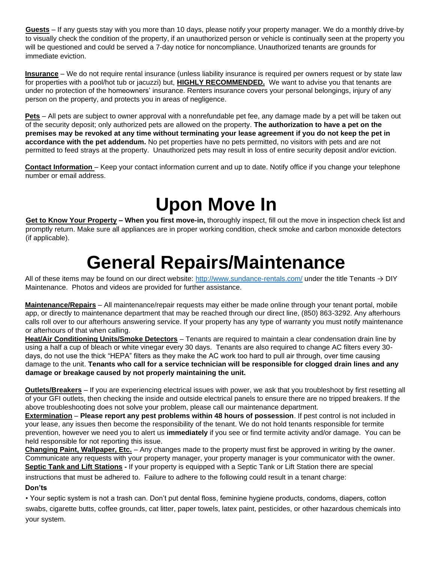**Guests** – If any guests stay with you more than 10 days, please notify your property manager. We do a monthly drive-by to visually check the condition of the property, if an unauthorized person or vehicle is continually seen at the property you will be questioned and could be served a 7-day notice for noncompliance. Unauthorized tenants are grounds for immediate eviction.

**Insurance** – We do not require rental insurance (unless liability insurance is required per owners request or by state law for properties with a pool/hot tub or jacuzzi) but, **HIGHLY RECOMMENDED.** We want to advise you that tenants are under no protection of the homeowners' insurance. Renters insurance covers your personal belongings, injury of any person on the property, and protects you in areas of negligence.

**Pets** – All pets are subject to owner approval with a nonrefundable pet fee, any damage made by a pet will be taken out of the security deposit; only authorized pets are allowed on the property. **The authorization to have a pet on the premises may be revoked at any time without terminating your lease agreement if you do not keep the pet in accordance with the pet addendum.** No pet properties have no pets permitted, no visitors with pets and are not permitted to feed strays at the property. Unauthorized pets may result in loss of entire security deposit and/or eviction.

**Contact Information** – Keep your contact information current and up to date. Notify office if you change your telephone number or email address.

# **Upon Move In**

**Get to Know Your Property – When you first move-in,** thoroughly inspect, fill out the move in inspection check list and promptly return. Make sure all appliances are in proper working condition, check smoke and carbon monoxide detectors (if applicable).

### **General Repairs/Maintenance**

All of these items may be found on our direct website:<http://www.sundance-rentals.com/> [u](http://www.sundance-rentals.com/)nder the title Tenants  $\rightarrow$  DIY Maintenance. Photos and videos are provided for further assistance.

**Maintenance/Repairs** – All maintenance/repair requests may either be made online through your tenant portal, mobile app, or directly to maintenance department that may be reached through our direct line, (850) 863-3292. Any afterhours calls roll over to our afterhours answering service. If your property has any type of warranty you must notify maintenance or afterhours of that when calling.

**Heat/Air Conditioning Units/Smoke Detectors** – Tenants are required to maintain a clear condensation drain line by using a half a cup of bleach or white vinegar every 30 days. Tenants are also required to change AC filters every 30 days, do not use the thick "HEPA" filters as they make the AC work too hard to pull air through, over time causing damage to the unit. **Tenants who call for a service technician will be responsible for clogged drain lines and any damage or breakage caused by not properly maintaining the unit.**

**Outlets/Breakers** – If you are experiencing electrical issues with power, we ask that you troubleshoot by first resetting all of your GFI outlets, then checking the inside and outside electrical panels to ensure there are no tripped breakers. If the above troubleshooting does not solve your problem, please call our maintenance department.

**Extermination** – **Please report any pest problems within 48 hours of possession**. If pest control is not included in your lease, any issues then become the responsibility of the tenant. We do not hold tenants responsible for termite prevention, however we need you to alert us **immediately** if you see or find termite activity and/or damage. You can be held responsible for not reporting this issue.

**Changing Paint, Wallpaper, Etc.** – Any changes made to the property must first be approved in writing by the owner. Communicate any requests with your property manager, your property manager is your communicator with the owner. **Septic Tank and Lift Stations -** If your property is equipped with a Septic Tank or Lift Station there are special

instructions that must be adhered to. Failure to adhere to the following could result in a tenant charge:

### **Don'ts**

• Your septic system is not a trash can. Don't put dental floss, feminine hygiene products, condoms, diapers, cotton swabs, cigarette butts, coffee grounds, cat litter, paper towels, latex paint, pesticides, or other hazardous chemicals into your system.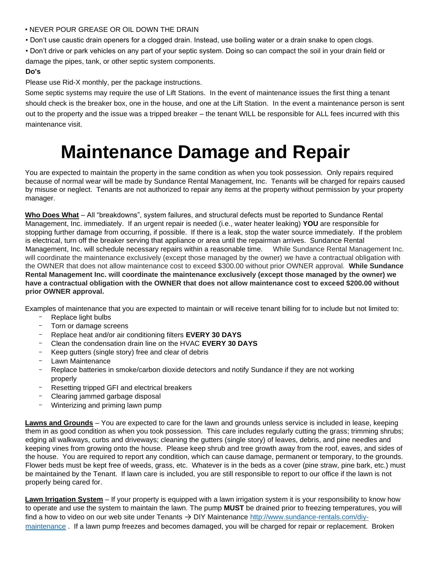- NEVER POUR GREASE OR OIL DOWN THE DRAIN
- Don't use caustic drain openers for a clogged drain. Instead, use boiling water or a drain snake to open clogs.
- Don't drive or park vehicles on any part of your septic system. Doing so can compact the soil in your drain field or damage the pipes, tank, or other septic system components.

### **Do's**

Please use Rid-X monthly, per the package instructions.

Some septic systems may require the use of Lift Stations. In the event of maintenance issues the first thing a tenant should check is the breaker box, one in the house, and one at the Lift Station. In the event a maintenance person is sent out to the property and the issue was a tripped breaker – the tenant WILL be responsible for ALL fees incurred with this maintenance visit.

# **Maintenance Damage and Repair**

You are expected to maintain the property in the same condition as when you took possession. Only repairs required because of normal wear will be made by Sundance Rental Management, Inc. Tenants will be charged for repairs caused by misuse or neglect. Tenants are not authorized to repair any items at the property without permission by your property manager.

**Who Does What** – All "breakdowns", system failures, and structural defects must be reported to Sundance Rental Management, Inc. immediately. If an urgent repair is needed (i.e., water heater leaking) **YOU** are responsible for stopping further damage from occurring, if possible. If there is a leak, stop the water source immediately. If the problem is electrical, turn off the breaker serving that appliance or area until the repairman arrives. Sundance Rental Management, Inc. will schedule necessary repairs within a reasonable time. While Sundance Rental Management Inc. will coordinate the maintenance exclusively (except those managed by the owner) we have a contractual obligation with the OWNER that does not allow maintenance cost to exceed \$300.00 without prior OWNER approval. **While Sundance Rental Management Inc. will coordinate the maintenance exclusively (except those managed by the owner) we have a contractual obligation with the OWNER that does not allow maintenance cost to exceed \$200.00 without prior OWNER approval.** 

Examples of maintenance that you are expected to maintain or will receive tenant billing for to include but not limited to:

- Replace light bulbs
- Torn or damage screens
- Replace heat and/or air conditioning filters **EVERY 30 DAYS**
- Clean the condensation drain line on the HVAC **EVERY 30 DAYS**
- Keep gutters (single story) free and clear of debris
- Lawn Maintenance
- Replace batteries in smoke/carbon dioxide detectors and notify Sundance if they are not working properly
- Resetting tripped GFI and electrical breakers
- Clearing jammed garbage disposal
- Winterizing and priming lawn pump

**Lawns and Grounds** – You are expected to care for the lawn and grounds unless service is included in lease, keeping them in as good condition as when you took possession. This care includes regularly cutting the grass; trimming shrubs; edging all walkways, curbs and driveways; cleaning the gutters (single story) of leaves, debris, and pine needles and keeping vines from growing onto the house. Please keep shrub and tree growth away from the roof, eaves, and sides of the house. You are required to report any condition, which can cause damage, permanent or temporary, to the grounds. Flower beds must be kept free of weeds, grass, etc. Whatever is in the beds as a cover (pine straw, pine bark, etc.) must be maintained by the Tenant. If lawn care is included, you are still responsible to report to our office if the lawn is not properly being cared for.

**Lawn Irrigation System** – If your property is equipped with a lawn irrigation system it is your responsibility to know how to operate and use the system to maintain the lawn. The pump **MUST** be drained prior to freezing temperatures, you will find a how to video on our web site under Tenants  $\rightarrow$  DIY Maintenance [http://www.sundance-rentals.com/diy](http://www.sundance-rentals.com/diy-maintenance)[maintenance](http://www.sundance-rentals.com/diy-maintenance) [.](http://www.sundance-rentals.com/diy-maintenance) If a lawn pump freezes and becomes damaged, you will be charged for repair or replacement. Broken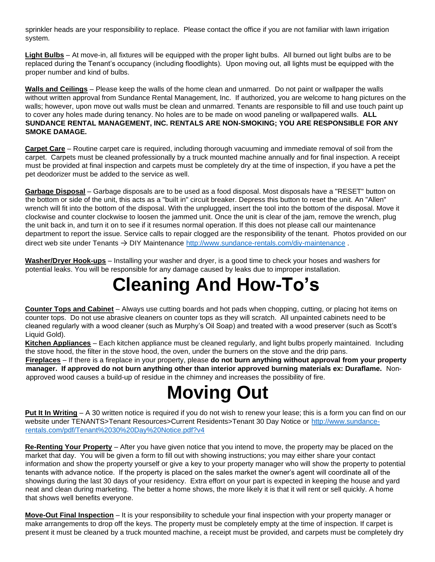sprinkler heads are your responsibility to replace. Please contact the office if you are not familiar with lawn irrigation system.

**Light Bulbs** – At move-in, all fixtures will be equipped with the proper light bulbs. All burned out light bulbs are to be replaced during the Tenant's occupancy (including floodlights). Upon moving out, all lights must be equipped with the proper number and kind of bulbs.

**Walls and Ceilings** – Please keep the walls of the home clean and unmarred. Do not paint or wallpaper the walls without written approval from Sundance Rental Management, Inc. If authorized, you are welcome to hang pictures on the walls; however, upon move out walls must be clean and unmarred. Tenants are responsible to fill and use touch paint up to cover any holes made during tenancy. No holes are to be made on wood paneling or wallpapered walls. **ALL SUNDANCE RENTAL MANAGEMENT, INC. RENTALS ARE NON-SMOKING; YOU ARE RESPONSIBLE FOR ANY SMOKE DAMAGE.** 

**Carpet Care** – Routine carpet care is required, including thorough vacuuming and immediate removal of soil from the carpet. Carpets must be cleaned professionally by a truck mounted machine annually and for final inspection. A receipt must be provided at final inspection and carpets must be completely dry at the time of inspection, if you have a pet the pet deodorizer must be added to the service as well.

**Garbage Disposal** – Garbage disposals are to be used as a food disposal. Most disposals have a "RESET" button on the bottom or side of the unit, this acts as a "built in" circuit breaker. Depress this button to reset the unit. An "Allen" wrench will fit into the bottom of the disposal. With the unplugged, insert the tool into the bottom of the disposal. Move it clockwise and counter clockwise to loosen the jammed unit. Once the unit is clear of the jam, remove the wrench, plug the unit back in, and turn it on to see if it resumes normal operation. If this does not please call our maintenance department to report the issue. Service calls to repair clogged are the responsibility of the tenant. Photos provided on our direct web site under Tenants → DIY Maintenanc[e](http://www.sundance-rentals.com/diy-maintenance) <http://www.sundance-rentals.com/diy-maintenance> .

**Washer/Dryer Hook-ups** – Installing your washer and dryer, is a good time to check your hoses and washers for potential leaks. You will be responsible for any damage caused by leaks due to improper installation.

### **Cleaning And How-To's**

**Counter Tops and Cabinet** – Always use cutting boards and hot pads when chopping, cutting, or placing hot items on counter tops. Do not use abrasive cleaners on counter tops as they will scratch. All unpainted cabinets need to be cleaned regularly with a wood cleaner (such as Murphy's Oil Soap) and treated with a wood preserver (such as Scott's Liquid Gold).

**Kitchen Appliances** – Each kitchen appliance must be cleaned regularly, and light bulbs properly maintained. Including the stove hood, the filter in the stove hood, the oven, under the burners on the stove and the drip pans.

**Fireplaces** – If there is a fireplace in your property, please **do not burn anything without approval from your property manager. If approved do not burn anything other than interior approved burning materials ex: Duraflame.** Nonapproved wood causes a build-up of residue in the chimney and increases the possibility of fire.

# **Moving Out**

**Put It In Writing** – A 30 written notice is required if you do not wish to renew your lease; this is a form you can find on our website under TENANTS>Tenant Resources>Current Residents>Tenant 30 Day Notice or [http://www.sundance](http://www.sundance-rentals.com/pdf/Tenant%2030%20Day%20Notice.pdf?v4)[rentals.com/pdf/Tenant%2030%20Day%20Notice.pdf?v4](http://www.sundance-rentals.com/pdf/Tenant%2030%20Day%20Notice.pdf?v4) 

**Re-Renting Your Property** – After you have given notice that you intend to move, the property may be placed on the market that day. You will be given a form to fill out with showing instructions; you may either share your contact information and show the property yourself or give a key to your property manager who will show the property to potential tenants with advance notice. If the property is placed on the sales market the owner's agent will coordinate all of the showings during the last 30 days of your residency. Extra effort on your part is expected in keeping the house and yard neat and clean during marketing. The better a home shows, the more likely it is that it will rent or sell quickly. A home that shows well benefits everyone.

**Move-Out Final Inspection** – It is your responsibility to schedule your final inspection with your property manager or make arrangements to drop off the keys. The property must be completely empty at the time of inspection. If carpet is present it must be cleaned by a truck mounted machine, a receipt must be provided, and carpets must be completely dry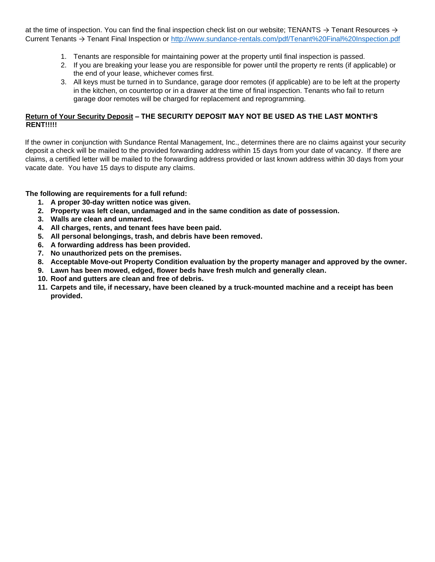at the time of inspection. You can find the final inspection check list on our website; TENANTS  $\rightarrow$  Tenant Resources  $\rightarrow$ Current Tenants → Tenant Final Inspection or<http://www.sundance-rentals.com/pdf/Tenant%20Final%20Inspection.pdf>

- 1. Tenants are responsible for maintaining power at the property until final inspection is passed.
- 2. If you are breaking your lease you are responsible for power until the property re rents (if applicable) or the end of your lease, whichever comes first.
- 3. All keys must be turned in to Sundance, garage door remotes (if applicable) are to be left at the property in the kitchen, on countertop or in a drawer at the time of final inspection. Tenants who fail to return garage door remotes will be charged for replacement and reprogramming.

### **Return of Your Security Deposit – THE SECURITY DEPOSIT MAY NOT BE USED AS THE LAST MONTH'S RENT!!!!!**

If the owner in conjunction with Sundance Rental Management, Inc., determines there are no claims against your security deposit a check will be mailed to the provided forwarding address within 15 days from your date of vacancy. If there are claims, a certified letter will be mailed to the forwarding address provided or last known address within 30 days from your vacate date. You have 15 days to dispute any claims.

**The following are requirements for a full refund:** 

- **1. A proper 30-day written notice was given.**
- **2. Property was left clean, undamaged and in the same condition as date of possession.**
- **3. Walls are clean and unmarred.**
- **4. All charges, rents, and tenant fees have been paid.**
- **5. All personal belongings, trash, and debris have been removed.**
- **6. A forwarding address has been provided.**
- **7. No unauthorized pets on the premises.**
- **8. Acceptable Move-out Property Condition evaluation by the property manager and approved by the owner.**
- **9. Lawn has been mowed, edged, flower beds have fresh mulch and generally clean.**
- **10. Roof and gutters are clean and free of debris.**
- **11. Carpets and tile, if necessary, have been cleaned by a truck-mounted machine and a receipt has been provided.**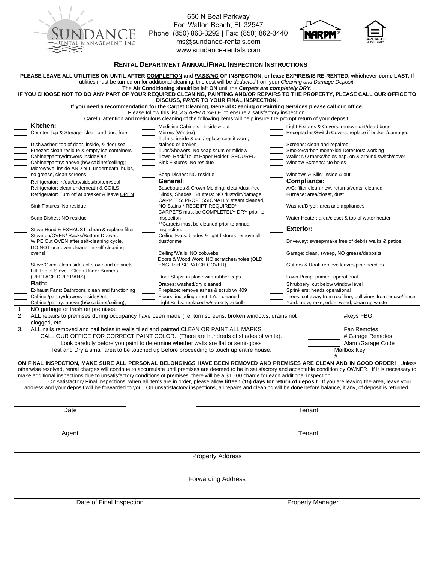

650 N Beal Parkway<br>Fort Walton Beach, FL 32547 Phone: (850) 863-3292 | Fax: (850) 862-3440<br>ms@sundance-rentals.com www.sundance-rentals.com





#### **RENTAL DEPARTMENT ANNUAL/FINAL INSPECTION INSTRUCTIONS**

|                                                                                                                                                                                                                                                                                                                                                                                                                                                                                                                                                                                                                   | utilities must be turned on for additional cleaning, this cost will be deducted from your Cleaning and Damage Deposit.                                                 | PLEASE LEAVE ALL UTILITIES ON UNTIL AFTER COMPLETION and PASSING OF INSPECTION, or lease EXPIRES/IS RE-RENTED, whichever come LAST. If |
|-------------------------------------------------------------------------------------------------------------------------------------------------------------------------------------------------------------------------------------------------------------------------------------------------------------------------------------------------------------------------------------------------------------------------------------------------------------------------------------------------------------------------------------------------------------------------------------------------------------------|------------------------------------------------------------------------------------------------------------------------------------------------------------------------|----------------------------------------------------------------------------------------------------------------------------------------|
|                                                                                                                                                                                                                                                                                                                                                                                                                                                                                                                                                                                                                   | The Air Conditioning should be left ON until the Carpets are completely DRY.                                                                                           |                                                                                                                                        |
|                                                                                                                                                                                                                                                                                                                                                                                                                                                                                                                                                                                                                   |                                                                                                                                                                        | IF YOU CHOOSE NOT TO DO ANY PART OF YOUR REQUIRED CLEANING, PAINTING AND/OR REPAIRS TO THE PROPERTY, PLEASE CALL OUR OFFICE TO         |
| DISCUSS, PRIOR TO YOUR FINAL INSPECTION.<br>If you need a recommendation for the Carpet Cleaning, General Cleaning or Painting Services please call our office.                                                                                                                                                                                                                                                                                                                                                                                                                                                   |                                                                                                                                                                        |                                                                                                                                        |
| Please follow this list, AS APPLICABLE, to ensure a satisfactory inspection.                                                                                                                                                                                                                                                                                                                                                                                                                                                                                                                                      |                                                                                                                                                                        |                                                                                                                                        |
| Careful attention and meticulous cleaning of the following items will help insure the prompt return of your deposit.                                                                                                                                                                                                                                                                                                                                                                                                                                                                                              |                                                                                                                                                                        |                                                                                                                                        |
| Kitchen:                                                                                                                                                                                                                                                                                                                                                                                                                                                                                                                                                                                                          | Medicine Cabinets - inside & out                                                                                                                                       | Light Fixtures & Covers: remove dirt/dead bugs                                                                                         |
| Counter Top & Storage: clean and dust-free                                                                                                                                                                                                                                                                                                                                                                                                                                                                                                                                                                        | Mirrors (Windex)<br>Toilets: inside & out /replace seat if worn,                                                                                                       | Receptacles/Switch Covers: replace if broken/damaged                                                                                   |
| Dishwasher: top of door, inside, & door seal                                                                                                                                                                                                                                                                                                                                                                                                                                                                                                                                                                      | stained or broken                                                                                                                                                      | Screens: clean and repaired                                                                                                            |
| Freezer: clean residue & empty ice containers                                                                                                                                                                                                                                                                                                                                                                                                                                                                                                                                                                     | Tubs/Showers: No soap scum or mildew                                                                                                                                   | Smoke/carbon monoxide Detectors: working                                                                                               |
| Cabinet/pantry/drawers-inside/Out                                                                                                                                                                                                                                                                                                                                                                                                                                                                                                                                                                                 | Towel Rack/Toilet Paper Holder: SECURED                                                                                                                                | Walls: NO marks/holes-esp. on & around switch/cover                                                                                    |
| Cabinet/pantry: above (b/w cabinet/ceiling);<br>Microwave: inside AND out, underneath, bulbs,                                                                                                                                                                                                                                                                                                                                                                                                                                                                                                                     | Sink Fixtures: No residue                                                                                                                                              | Window Screens: No holes                                                                                                               |
| no grease, clean screens                                                                                                                                                                                                                                                                                                                                                                                                                                                                                                                                                                                          | Soap Dishes: NO residue                                                                                                                                                | Windows & Sills: inside & out                                                                                                          |
| Refrigerator: in/out/top/sides/bottom/seal                                                                                                                                                                                                                                                                                                                                                                                                                                                                                                                                                                        | General:                                                                                                                                                               | Compliance:                                                                                                                            |
| Refrigerator: clean underneath & COILS                                                                                                                                                                                                                                                                                                                                                                                                                                                                                                                                                                            | Baseboards & Crown Molding; clean/dust-free                                                                                                                            | A/C: filter clean-new, returns/vents: cleaned                                                                                          |
| Refrigerator: Turn off at breaker & leave OPEN                                                                                                                                                                                                                                                                                                                                                                                                                                                                                                                                                                    | Blinds, Shades, Shutters: NO dust/dirt/damage                                                                                                                          | Furnace: area/closet, dust                                                                                                             |
|                                                                                                                                                                                                                                                                                                                                                                                                                                                                                                                                                                                                                   | CARPETS: PROFESSIONALLY steam cleaned,                                                                                                                                 |                                                                                                                                        |
| Sink Fixtures: No residue                                                                                                                                                                                                                                                                                                                                                                                                                                                                                                                                                                                         | NO Stains * RECEIPT REQUIRED*<br>CARPETS must be COMPLETELY DRY prior to                                                                                               | Washer/Dryer: area and appliances                                                                                                      |
| Soap Dishes: NO residue                                                                                                                                                                                                                                                                                                                                                                                                                                                                                                                                                                                           | inspection                                                                                                                                                             | Water Heater: area/closet & top of water heater                                                                                        |
|                                                                                                                                                                                                                                                                                                                                                                                                                                                                                                                                                                                                                   | **Carpets must be cleaned prior to annual                                                                                                                              |                                                                                                                                        |
| Stove Hood & EXHAUST: clean & replace filter                                                                                                                                                                                                                                                                                                                                                                                                                                                                                                                                                                      | inspection.                                                                                                                                                            | <b>Exterior:</b>                                                                                                                       |
| Stovetop/OVEN/ Racks/Bottom Drawer:<br>WIPE Out OVEN after self-cleaning cycle,                                                                                                                                                                                                                                                                                                                                                                                                                                                                                                                                   | Ceiling Fans: blades & light fixtures-remove all                                                                                                                       | Driveway: sweep/make free of debris walks & patios                                                                                     |
| DO NOT use oven cleaner in self-cleaning                                                                                                                                                                                                                                                                                                                                                                                                                                                                                                                                                                          | dust/grime                                                                                                                                                             |                                                                                                                                        |
| ovens!                                                                                                                                                                                                                                                                                                                                                                                                                                                                                                                                                                                                            | Ceiling/Walls: NO cobwebs                                                                                                                                              | Garage: clean, sweep, NO grease/deposits                                                                                               |
|                                                                                                                                                                                                                                                                                                                                                                                                                                                                                                                                                                                                                   | Doors & Wood Work: NO scratches/holes (OLD                                                                                                                             |                                                                                                                                        |
| Stove/Oven: clean sides of stove and cabinets                                                                                                                                                                                                                                                                                                                                                                                                                                                                                                                                                                     | <b>ENGLISH SCRATCH COVER)</b>                                                                                                                                          | Gutters & Roof: remove leaves/pine needles                                                                                             |
| Lift Top of Stove - Clean Under Burners<br>(REPLACE DRIP PANS)                                                                                                                                                                                                                                                                                                                                                                                                                                                                                                                                                    | Door Stops: in place with rubber caps                                                                                                                                  | Lawn Pump: primed, operational                                                                                                         |
| Bath:                                                                                                                                                                                                                                                                                                                                                                                                                                                                                                                                                                                                             | Drapes: washed/dry cleaned                                                                                                                                             | Shrubbery: cut below window level                                                                                                      |
| Exhaust Fans: Bathroom, clean and functioning                                                                                                                                                                                                                                                                                                                                                                                                                                                                                                                                                                     | Fireplace: remove ashes & scrub w/ 409                                                                                                                                 | Sprinklers: heads operational                                                                                                          |
| Cabinet/pantry/drawers-inside/Out                                                                                                                                                                                                                                                                                                                                                                                                                                                                                                                                                                                 | Floors: including grout, I.A. - cleaned                                                                                                                                | Trees: cut away from roof line, pull vines from house/fence                                                                            |
| Cabinet/pantry: above (b/w cabinet/ceiling);                                                                                                                                                                                                                                                                                                                                                                                                                                                                                                                                                                      | Light Bulbs: replaced w/same type bulb-                                                                                                                                | Yard: mow, rake, edge, weed, clean up waste                                                                                            |
| 1<br>NO garbage or trash on premises.                                                                                                                                                                                                                                                                                                                                                                                                                                                                                                                                                                             |                                                                                                                                                                        |                                                                                                                                        |
| 2                                                                                                                                                                                                                                                                                                                                                                                                                                                                                                                                                                                                                 | ALL repairs to premises during occupancy have been made (i.e. torn screens, broken windows, drains not                                                                 | #keys FBG                                                                                                                              |
| clogged, etc.                                                                                                                                                                                                                                                                                                                                                                                                                                                                                                                                                                                                     |                                                                                                                                                                        |                                                                                                                                        |
| 3.                                                                                                                                                                                                                                                                                                                                                                                                                                                                                                                                                                                                                | ALL nails removed and nail holes in walls filled and painted CLEAN OR PAINT ALL MARKS.                                                                                 | Fan Remotes                                                                                                                            |
|                                                                                                                                                                                                                                                                                                                                                                                                                                                                                                                                                                                                                   | CALL OUR OFFICE FOR CORRECT PAINT COLOR. (There are hundreds of shades of white).<br>Look carefully before you paint to determine whether walls are flat or semi-gloss | # Garage Remotes<br>Alarm/Garage Code                                                                                                  |
|                                                                                                                                                                                                                                                                                                                                                                                                                                                                                                                                                                                                                   | Test and Dry a small area to be touched up Before proceeding to touch up entire house.                                                                                 | Mailbox Key                                                                                                                            |
|                                                                                                                                                                                                                                                                                                                                                                                                                                                                                                                                                                                                                   |                                                                                                                                                                        |                                                                                                                                        |
| ON FINAL INSPECTION, MAKE SURE ALL PERSONAL BELONGINGS HAVE BEEN REMOVED AND PREMISES ARE CLEAN AND IN GOOD ORDER! Unless<br>otherwise resolved, rental charges will continue to accumulate until premises are deemed to be in satisfactory and acceptable condition by OWNER. If it is necessary to<br>make additional inspections due to unsatisfactory conditions of premises, there will be a \$10.00 charge for each additional inspection.<br>On satisfactory Final Inspections, when all items are in order, please allow fifteen (15) days for return of deposit. If you are leaving the area, leave your |                                                                                                                                                                        |                                                                                                                                        |
| address and your deposit will be forwarded to you. On unsatisfactory inspections, all repairs and cleaning will be done before balance, if any, of deposit is returned.                                                                                                                                                                                                                                                                                                                                                                                                                                           |                                                                                                                                                                        |                                                                                                                                        |
| Date                                                                                                                                                                                                                                                                                                                                                                                                                                                                                                                                                                                                              |                                                                                                                                                                        | Tenant                                                                                                                                 |
|                                                                                                                                                                                                                                                                                                                                                                                                                                                                                                                                                                                                                   |                                                                                                                                                                        |                                                                                                                                        |
| Agent                                                                                                                                                                                                                                                                                                                                                                                                                                                                                                                                                                                                             |                                                                                                                                                                        | Tenant                                                                                                                                 |
| <b>Property Address</b>                                                                                                                                                                                                                                                                                                                                                                                                                                                                                                                                                                                           |                                                                                                                                                                        |                                                                                                                                        |
| <b>Forwarding Address</b>                                                                                                                                                                                                                                                                                                                                                                                                                                                                                                                                                                                         |                                                                                                                                                                        |                                                                                                                                        |
|                                                                                                                                                                                                                                                                                                                                                                                                                                                                                                                                                                                                                   |                                                                                                                                                                        |                                                                                                                                        |
| Date of Final Inspection                                                                                                                                                                                                                                                                                                                                                                                                                                                                                                                                                                                          |                                                                                                                                                                        | Property Manager                                                                                                                       |